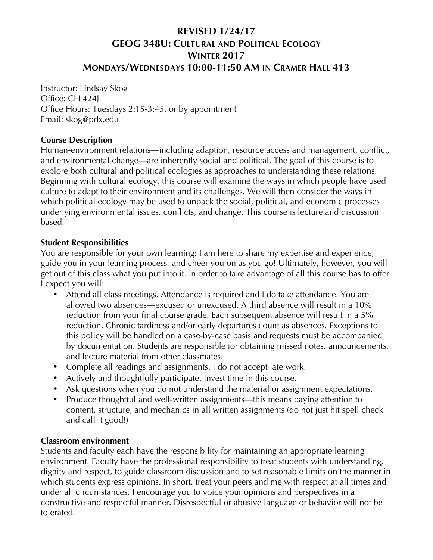# **REVISED 1/24/17 GEOG 348U: CULTURAL AND POLITICAL ECOLOGY WINTER 2017 MONDAYS/WEDNESDAYS 10:00-11:50 AM IN CRAMER HALL 413**

Instructor: Lindsay Skog Office: CH 424J Office Hours: Tuesdays 2:15-3:45, or by appointment Email: skog@pdx.edu

### **Course Description**

Human-environment relations—including adaption, resource access and management, conflict, and environmental change—are inherently social and political. The goal of this course is to explore both cultural and political ecologies as approaches to understanding these relations. Beginning with cultural ecology, this course will examine the ways in which people have used culture to adapt to their environment and its challenges. We will then consider the ways in which political ecology may be used to unpack the social, political, and economic processes underlying environmental issues, conflicts, and change. This course is lecture and discussion based.

## **Student Responsibilities**

You are responsible for your own learning; I am here to share my expertise and experience, guide you in your learning process, and cheer you on as you go! Ultimately, however, you will get out of this class what you put into it. In order to take advantage of all this course has to offer I expect you will:

- Attend all class meetings. Attendance is required and I do take attendance. You are allowed two absences—excused or unexcused. A third absence will result in a 10% reduction from your final course grade. Each subsequent absence will result in a 5% reduction. Chronic tardiness and/or early departures count as absences. Exceptions to this policy will be handled on a case-by-case basis and requests must be accompanied by documentation. Students are responsible for obtaining missed notes, announcements, and lecture material from other classmates.
- Complete all readings and assignments. I do not accept late work.
- Actively and thoughtfully participate. Invest time in this course.
- Ask questions when you do not understand the material or assignment expectations.
- Produce thoughtful and well-written assignments—this means paying attention to content, structure, and mechanics in all written assignments (do not just hit spell check and call it good!)

## **Classroom environment**

Students and faculty each have the responsibility for maintaining an appropriate learning environment. Faculty have the professional responsibility to treat students with understanding, dignity and respect, to guide classroom discussion and to set reasonable limits on the manner in which students express opinions. In short, treat your peers and me with respect at all times and under all circumstances. I encourage you to voice your opinions and perspectives in a constructive and respectful manner. Disrespectful or abusive language or behavior will not be tolerated.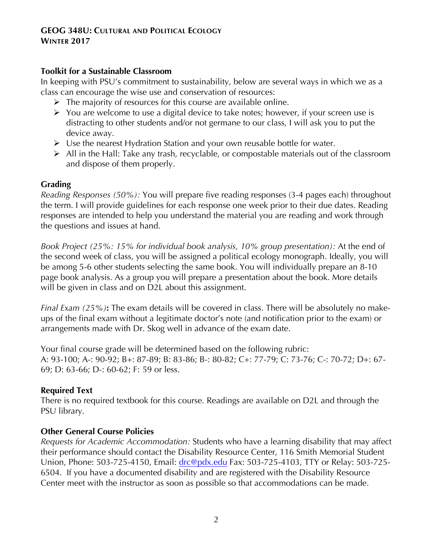#### **Toolkit for a Sustainable Classroom**

In keeping with PSU's commitment to sustainability, below are several ways in which we as a class can encourage the wise use and conservation of resources:

- $\triangleright$  The majority of resources for this course are available online.
- $\triangleright$  You are welcome to use a digital device to take notes; however, if your screen use is distracting to other students and/or not germane to our class, I will ask you to put the device away.
- $\triangleright$  Use the nearest Hydration Station and your own reusable bottle for water.
- $\triangleright$  All in the Hall: Take any trash, recyclable, or compostable materials out of the classroom and dispose of them properly.

#### **Grading**

*Reading Responses (50%):* You will prepare five reading responses (3-4 pages each) throughout the term. I will provide guidelines for each response one week prior to their due dates. Reading responses are intended to help you understand the material you are reading and work through the questions and issues at hand.

*Book Project (25%: 15% for individual book analysis, 10% group presentation):* At the end of the second week of class, you will be assigned a political ecology monograph. Ideally, you will be among 5-6 other students selecting the same book. You will individually prepare an 8-10 page book analysis. As a group you will prepare a presentation about the book. More details will be given in class and on D2L about this assignment.

*Final Exam (25%)***:** The exam details will be covered in class. There will be absolutely no makeups of the final exam without a legitimate doctor's note (and notification prior to the exam) or arrangements made with Dr. Skog well in advance of the exam date.

Your final course grade will be determined based on the following rubric: A: 93-100; A-: 90-92; B+: 87-89; B: 83-86; B-: 80-82; C+: 77-79; C: 73-76; C-: 70-72; D+: 67- 69; D: 63-66; D-: 60-62; F: 59 or less.

## **Required Text**

There is no required textbook for this course. Readings are available on D2L and through the PSU library.

## **Other General Course Policies**

*Requests for Academic Accommodation:* Students who have a learning disability that may affect their performance should contact the Disability Resource Center, 116 Smith Memorial Student Union, Phone: 503-725-4150, Email: drc@pdx.edu Fax: 503-725-4103, TTY or Relay: 503-725-6504. If you have a documented disability and are registered with the Disability Resource Center meet with the instructor as soon as possible so that accommodations can be made.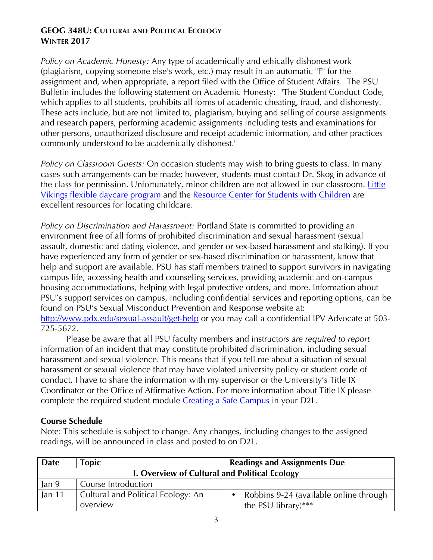*Policy on Academic Honesty:* Any type of academically and ethically dishonest work (plagiarism, copying someone else's work, etc.) may result in an automatic "F" for the assignment and, when appropriate, a report filed with the Office of Student Affairs. The PSU Bulletin includes the following statement on Academic Honesty: "The Student Conduct Code, which applies to all students, prohibits all forms of academic cheating, fraud, and dishonesty. These acts include, but are not limited to, plagiarism, buying and selling of course assignments and research papers, performing academic assignments including tests and examinations for other persons, unauthorized disclosure and receipt academic information, and other practices commonly understood to be academically dishonest."

*Policy on Classroom Guests:* On occasion students may wish to bring guests to class. In many cases such arrangements can be made; however, students must contact Dr. Skog in advance of the class for permission. Unfortunately, minor children are not allowed in our classroom. Little Vikings flexible daycare program and the Resource Center for Students with Children are excellent resources for locating childcare.

*Policy on Discrimination and Harassment:* Portland State is committed to providing an environment free of all forms of prohibited discrimination and sexual harassment (sexual assault, domestic and dating violence, and gender or sex-based harassment and stalking). If you have experienced any form of gender or sex-based discrimination or harassment, know that help and support are available. PSU has staff members trained to support survivors in navigating campus life, accessing health and counseling services, providing academic and on-campus housing accommodations, helping with legal protective orders, and more. Information about PSU's support services on campus, including confidential services and reporting options, can be found on PSU's Sexual Misconduct Prevention and Response website at: http://www.pdx.edu/sexual-assault/get-help or you may call a confidential IPV Advocate at 503-725-5672.

Please be aware that all PSU faculty members and instructors *are required to report* information of an incident that may constitute prohibited discrimination, including sexual harassment and sexual violence. This means that if you tell me about a situation of sexual harassment or sexual violence that may have violated university policy or student code of conduct, I have to share the information with my supervisor or the University's Title IX Coordinator or the Office of Affirmative Action. For more information about Title IX please complete the required student module Creating a Safe Campus in your D2L.

## **Course Schedule**

Note: This schedule is subject to change. Any changes, including changes to the assigned readings, will be announced in class and posted to on D2L.

| Date                                          | <b>Topic</b>                       | <b>Readings and Assignments Due</b>    |
|-----------------------------------------------|------------------------------------|----------------------------------------|
| I. Overview of Cultural and Political Ecology |                                    |                                        |
| Jan 9                                         | Course Introduction                |                                        |
| Jan $11$                                      | Cultural and Political Ecology: An | Robbins 9-24 (available online through |
|                                               | overview                           | the PSU library)***                    |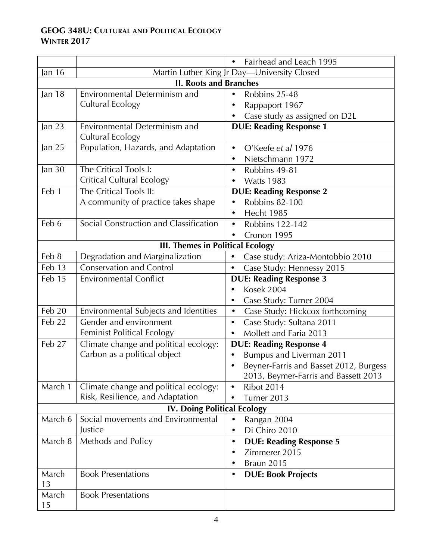|                                         |                                        | Fairhead and Leach 1995<br>$\bullet$          |  |
|-----------------------------------------|----------------------------------------|-----------------------------------------------|--|
| Jan 16                                  |                                        | Martin Luther King Jr Day-University Closed   |  |
| <b>II. Roots and Branches</b>           |                                        |                                               |  |
| Jan 18                                  | Environmental Determinism and          | Robbins 25-48<br>$\bullet$                    |  |
|                                         | Cultural Ecology                       | Rappaport 1967                                |  |
|                                         |                                        | Case study as assigned on D2L                 |  |
| Jan 23                                  | Environmental Determinism and          | <b>DUE: Reading Response 1</b>                |  |
|                                         | Cultural Ecology                       |                                               |  |
| Jan 25                                  | Population, Hazards, and Adaptation    | O'Keefe et al 1976<br>$\bullet$               |  |
|                                         |                                        | Nietschmann 1972<br>$\bullet$                 |  |
| Jan $30$                                | The Critical Tools I:                  | Robbins 49-81<br>$\bullet$                    |  |
|                                         | <b>Critical Cultural Ecology</b>       | <b>Watts 1983</b><br>٠                        |  |
| Feb 1                                   | The Critical Tools II:                 | <b>DUE: Reading Response 2</b>                |  |
|                                         | A community of practice takes shape    | <b>Robbins 82-100</b><br>$\bullet$            |  |
|                                         |                                        | Hecht 1985                                    |  |
| Feb 6                                   | Social Construction and Classification | <b>Robbins 122-142</b><br>$\bullet$           |  |
|                                         |                                        | Cronon 1995<br>٠                              |  |
| <b>III. Themes in Political Ecology</b> |                                        |                                               |  |
| Feb 8                                   | Degradation and Marginalization        | Case study: Ariza-Montobbio 2010<br>$\bullet$ |  |
| Feb 13                                  | <b>Conservation and Control</b>        | Case Study: Hennessy 2015                     |  |
| Feb 15                                  | <b>Environmental Conflict</b>          | <b>DUE: Reading Response 3</b>                |  |
|                                         |                                        | <b>Kosek 2004</b>                             |  |
|                                         |                                        | Case Study: Turner 2004                       |  |
| $\overline{Fe}b20$                      | Environmental Subjects and Identities  | Case Study: Hickcox forthcoming<br>$\bullet$  |  |
| Feb 22                                  | Gender and environment                 | Case Study: Sultana 2011<br>$\bullet$         |  |
|                                         | Feminist Political Ecology             | Mollett and Faria 2013<br>$\bullet$           |  |
| Feb 27                                  | Climate change and political ecology:  | <b>DUE: Reading Response 4</b>                |  |
|                                         | Carbon as a political object           | Bumpus and Liverman 2011                      |  |
|                                         |                                        | Beyner-Farris and Basset 2012, Burgess        |  |
|                                         |                                        | 2013, Beymer-Farris and Bassett 2013          |  |
| March 1                                 | Climate change and political ecology:  | <b>Ribot 2014</b>                             |  |
|                                         | Risk, Resilience, and Adaptation       | Turner 2013                                   |  |
| <b>IV. Doing Political Ecology</b>      |                                        |                                               |  |
| March 6                                 | Social movements and Environmental     | Rangan 2004<br>$\bullet$                      |  |
|                                         | Justice                                | Di Chiro 2010<br>$\bullet$                    |  |
| March 8                                 | Methods and Policy                     | <b>DUE: Reading Response 5</b><br>$\bullet$   |  |
|                                         |                                        | Zimmerer 2015<br>٠                            |  |
|                                         |                                        | <b>Braun 2015</b><br>٠                        |  |
| March                                   | <b>Book Presentations</b>              | <b>DUE: Book Projects</b><br>$\bullet$        |  |
| 13                                      |                                        |                                               |  |
| March                                   | <b>Book Presentations</b>              |                                               |  |
| 15                                      |                                        |                                               |  |